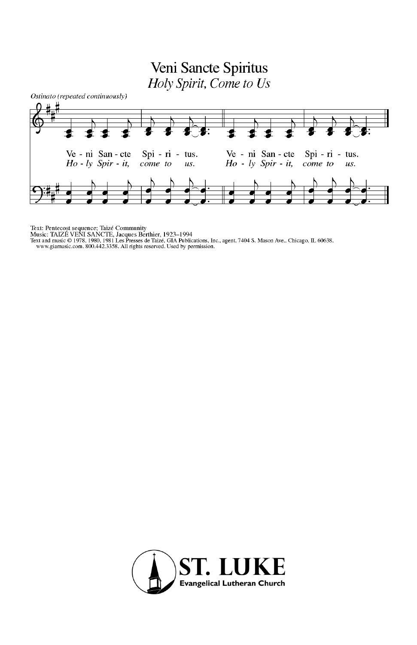## Veni Sancte Spiritus Holy Spirit, Come to Us



Text: Pentecost sequence; Taizé Community<br>Music: TAIZÉ VENT SANCTE, Jacques Berthier, 1923–1994<br>Text and music © 1978, 1980, 1981 Les Presses de Taizé. GIA Publications, Inc., agent. 7404 S. Mason Ave., Chicago, IL 60638.<br>

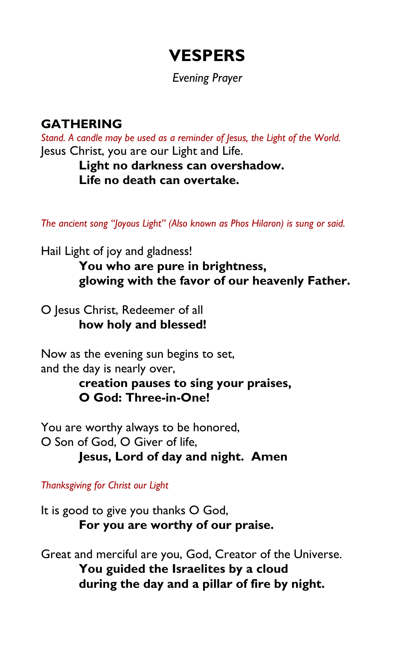# **VESPERS**

#### *Evening Prayer*

## **GATHERING**

*Stand. A candle may be used as a reminder of Jesus, the Light of the World.* Jesus Christ, you are our Light and Life.

> **Light no darkness can overshadow. Life no death can overtake.**

*The ancient song "Joyous Light" (Also known as Phos Hilaron) is sung or said.*

Hail Light of joy and gladness!

**You who are pure in brightness, glowing with the favor of our heavenly Father.**

O Jesus Christ, Redeemer of all **how holy and blessed!**

Now as the evening sun begins to set, and the day is nearly over,

> **creation pauses to sing your praises, O God: Three-in-One!**

You are worthy always to be honored, O Son of God, O Giver of life, **Jesus, Lord of day and night. Amen**

*Thanksgiving for Christ our Light*

It is good to give you thanks O God, **For you are worthy of our praise.**

Great and merciful are you, God, Creator of the Universe. **You guided the Israelites by a cloud during the day and a pillar of fire by night.**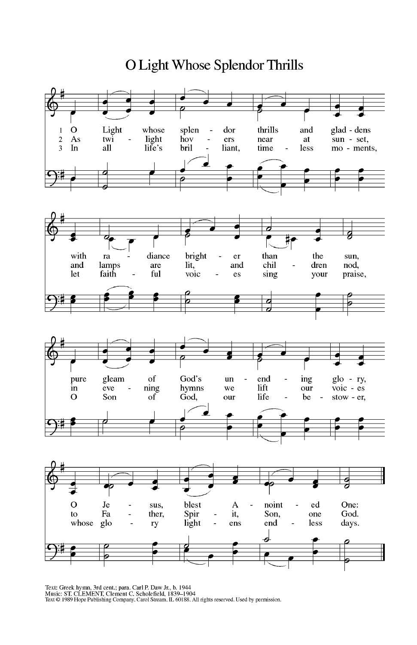é  $\Omega$ Light whose splen dor thrills and glad - dens  $\mathbf{1}$ Ĭ. light near  $\overline{\mathbf{2}}$  $As$ twi hov ers at sun - set, L, L. life's  $\overline{\mathbf{3}}$ all bril less In liant, time mo - ments,  $\overline{a}$  $\overline{\boldsymbol{c}}$  $\blacksquare$ with ra diance bright er than the sun, chil and lamps are lit, and dren nod, Ĭ. let faith ful voic sing praise, es your  $\overline{a}$ ø  $\overline{c}$ ಸ pure gleam of God's end ing glo - ry, un Ĭ. Ĭ. hymns lift  $\overline{v}$ oic - es in eve ning we our ÷, God, Son  $\circ$ of our life be stow - er,  $\overline{\phantom{a}}$ ć 6  $\circ$ Je blest A noint ed One: Ĭ. sus,  $\overline{a}$ Spir Son, Fa ther, it, God. to L, one  $\prod_{r=1}^{r}$ whose glo ens end less days.  $\overline{a}$ ry  $\overline{a}$ d k

Text: Greek hymn, 3rd cent.; para. Carl P. Daw Jr., b. 1944<br>Music: ST. CLEMENT, Clement C. Scholefield, 1839–1904<br>Text © 1989 Hope Publishing Company, Carol Stream, IL 60188. All rights reserved. Used by permission.

O Light Whose Splendor Thrills